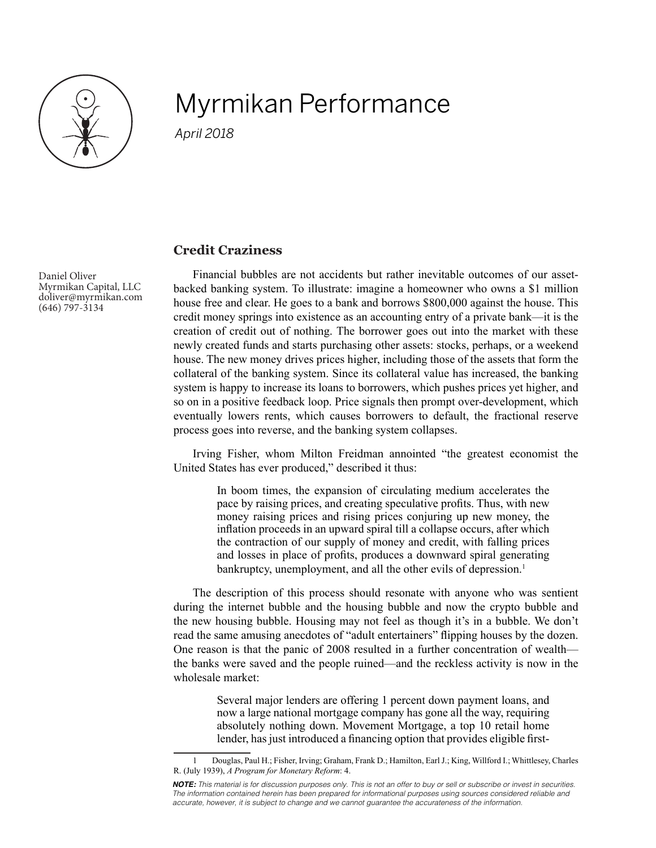

## Myrmikan Performance

*April 2018*

## **Credit Craziness**

Financial bubbles are not accidents but rather inevitable outcomes of our assetbacked banking system. To illustrate: imagine a homeowner who owns a \$1 million house free and clear. He goes to a bank and borrows \$800,000 against the house. This credit money springs into existence as an accounting entry of a private bank—it is the creation of credit out of nothing. The borrower goes out into the market with these newly created funds and starts purchasing other assets: stocks, perhaps, or a weekend house. The new money drives prices higher, including those of the assets that form the collateral of the banking system. Since its collateral value has increased, the banking system is happy to increase its loans to borrowers, which pushes prices yet higher, and so on in a positive feedback loop. Price signals then prompt over-development, which eventually lowers rents, which causes borrowers to default, the fractional reserve process goes into reverse, and the banking system collapses.

Irving Fisher, whom Milton Freidman annointed "the greatest economist the United States has ever produced," described it thus:

> In boom times, the expansion of circulating medium accelerates the pace by raising prices, and creating speculative profits. Thus, with new money raising prices and rising prices conjuring up new money, the inflation proceeds in an upward spiral till a collapse occurs, after which the contraction of our supply of money and credit, with falling prices and losses in place of profits, produces a downward spiral generating bankruptcy, unemployment, and all the other evils of depression.<sup>1</sup>

The description of this process should resonate with anyone who was sentient during the internet bubble and the housing bubble and now the crypto bubble and the new housing bubble. Housing may not feel as though it's in a bubble. We don't read the same amusing anecdotes of "adult entertainers" flipping houses by the dozen. One reason is that the panic of 2008 resulted in a further concentration of wealth the banks were saved and the people ruined—and the reckless activity is now in the wholesale market:

> Several major lenders are offering 1 percent down payment loans, and now a large national mortgage company has gone all the way, requiring absolutely nothing down. Movement Mortgage, a top 10 retail home lender, has just introduced a financing option that provides eligible first-

Daniel Oliver Myrmikan Capital, LLC doliver@myrmikan.com (646) 797-3134

<sup>1</sup> Douglas, Paul H.; Fisher, Irving; Graham, Frank D.; Hamilton, Earl J.; King, Willford I.; Whittlesey, Charles R. (July 1939), *A Program for Monetary Reform*: 4.

*NOTE: This material is for discussion purposes only. This is not an offer to buy or sell or subscribe or invest in securities. The information contained herein has been prepared for informational purposes using sources considered reliable and accurate, however, it is subject to change and we cannot guarantee the accurateness of the information.*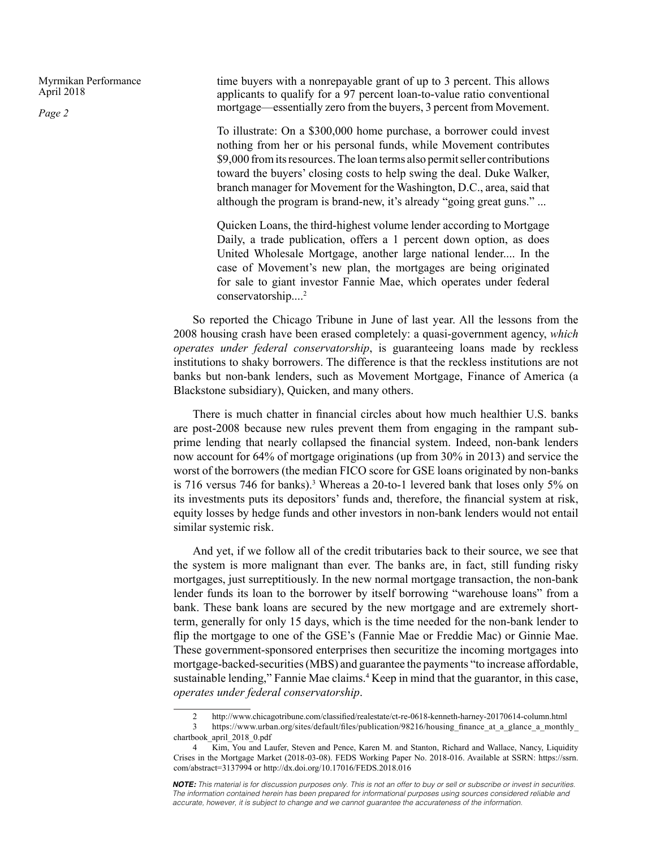*Page 2*

time buyers with a nonrepayable grant of up to 3 percent. This allows applicants to qualify for a 97 percent loan-to-value ratio conventional mortgage—essentially zero from the buyers, 3 percent from Movement.

To illustrate: On a \$300,000 home purchase, a borrower could invest nothing from her or his personal funds, while Movement contributes \$9,000 from its resources. The loan terms also permit seller contributions toward the buyers' closing costs to help swing the deal. Duke Walker, branch manager for Movement for the Washington, D.C., area, said that although the program is brand-new, it's already "going great guns." ...

Quicken Loans, the third-highest volume lender according to Mortgage Daily, a trade publication, offers a 1 percent down option, as does United Wholesale Mortgage, another large national lender.... In the case of Movement's new plan, the mortgages are being originated for sale to giant investor Fannie Mae, which operates under federal conservatorship....<sup>2</sup>

So reported the Chicago Tribune in June of last year. All the lessons from the 2008 housing crash have been erased completely: a quasi-government agency, *which operates under federal conservatorship*, is guaranteeing loans made by reckless institutions to shaky borrowers. The difference is that the reckless institutions are not banks but non-bank lenders, such as Movement Mortgage, Finance of America (a Blackstone subsidiary), Quicken, and many others.

There is much chatter in financial circles about how much healthier U.S. banks are post-2008 because new rules prevent them from engaging in the rampant subprime lending that nearly collapsed the financial system. Indeed, non-bank lenders now account for 64% of mortgage originations (up from 30% in 2013) and service the worst of the borrowers (the median FICO score for GSE loans originated by non-banks is 716 versus 746 for banks).<sup>3</sup> Whereas a 20-to-1 levered bank that loses only 5% on its investments puts its depositors' funds and, therefore, the financial system at risk, equity losses by hedge funds and other investors in non-bank lenders would not entail similar systemic risk.

And yet, if we follow all of the credit tributaries back to their source, we see that the system is more malignant than ever. The banks are, in fact, still funding risky mortgages, just surreptitiously. In the new normal mortgage transaction, the non-bank lender funds its loan to the borrower by itself borrowing "warehouse loans" from a bank. These bank loans are secured by the new mortgage and are extremely shortterm, generally for only 15 days, which is the time needed for the non-bank lender to flip the mortgage to one of the GSE's (Fannie Mae or Freddie Mac) or Ginnie Mae. These government-sponsored enterprises then securitize the incoming mortgages into mortgage-backed-securities (MBS) and guarantee the payments "to increase affordable, sustainable lending," Fannie Mae claims.<sup>4</sup> Keep in mind that the guarantor, in this case, *operates under federal conservatorship*.

<sup>2</sup> http://www.chicagotribune.com/classified/realestate/ct-re-0618-kenneth-harney-20170614-column.html

<sup>3</sup> https://www.urban.org/sites/default/files/publication/98216/housing\_finance\_at\_a\_glance\_a\_monthly chartbook\_april\_2018\_0.pdf

<sup>4</sup> Kim, You and Laufer, Steven and Pence, Karen M. and Stanton, Richard and Wallace, Nancy, Liquidity Crises in the Mortgage Market (2018-03-08). FEDS Working Paper No. 2018-016. Available at SSRN: https://ssrn. com/abstract=3137994 or http://dx.doi.org/10.17016/FEDS.2018.016

*NOTE: This material is for discussion purposes only. This is not an offer to buy or sell or subscribe or invest in securities. The information contained herein has been prepared for informational purposes using sources considered reliable and accurate, however, it is subject to change and we cannot guarantee the accurateness of the information.*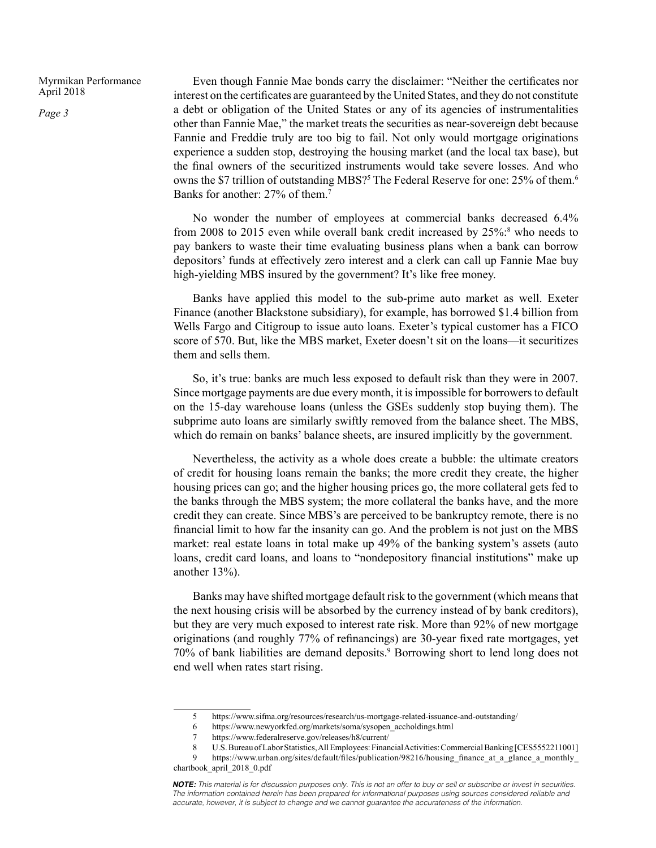*Page 3*

Even though Fannie Mae bonds carry the disclaimer: "Neither the certificates nor interest on the certificates are guaranteed by the United States, and they do not constitute a debt or obligation of the United States or any of its agencies of instrumentalities other than Fannie Mae," the market treats the securities as near-sovereign debt because Fannie and Freddie truly are too big to fail. Not only would mortgage originations experience a sudden stop, destroying the housing market (and the local tax base), but the final owners of the securitized instruments would take severe losses. And who owns the \$7 trillion of outstanding MBS?<sup>5</sup> The Federal Reserve for one: 25% of them.<sup>6</sup> Banks for another: 27% of them.<sup>7</sup>

No wonder the number of employees at commercial banks decreased 6.4% from 2008 to 2015 even while overall bank credit increased by 25%:<sup>8</sup> who needs to pay bankers to waste their time evaluating business plans when a bank can borrow depositors' funds at effectively zero interest and a clerk can call up Fannie Mae buy high-yielding MBS insured by the government? It's like free money.

Banks have applied this model to the sub-prime auto market as well. Exeter Finance (another Blackstone subsidiary), for example, has borrowed \$1.4 billion from Wells Fargo and Citigroup to issue auto loans. Exeter's typical customer has a FICO score of 570. But, like the MBS market, Exeter doesn't sit on the loans—it securitizes them and sells them.

So, it's true: banks are much less exposed to default risk than they were in 2007. Since mortgage payments are due every month, it is impossible for borrowers to default on the 15-day warehouse loans (unless the GSEs suddenly stop buying them). The subprime auto loans are similarly swiftly removed from the balance sheet. The MBS, which do remain on banks' balance sheets, are insured implicitly by the government.

Nevertheless, the activity as a whole does create a bubble: the ultimate creators of credit for housing loans remain the banks; the more credit they create, the higher housing prices can go; and the higher housing prices go, the more collateral gets fed to the banks through the MBS system; the more collateral the banks have, and the more credit they can create. Since MBS's are perceived to be bankruptcy remote, there is no financial limit to how far the insanity can go. And the problem is not just on the MBS market: real estate loans in total make up 49% of the banking system's assets (auto loans, credit card loans, and loans to "nondepository financial institutions" make up another 13%).

Banks may have shifted mortgage default risk to the government (which means that the next housing crisis will be absorbed by the currency instead of by bank creditors), but they are very much exposed to interest rate risk. More than 92% of new mortgage originations (and roughly 77% of refinancings) are 30-year fixed rate mortgages, yet 70% of bank liabilities are demand deposits.9 Borrowing short to lend long does not end well when rates start rising.

<sup>5</sup> https://www.sifma.org/resources/research/us-mortgage-related-issuance-and-outstanding/

<sup>6</sup> https://www.newyorkfed.org/markets/soma/sysopen\_accholdings.html

<sup>7</sup> https://www.federalreserve.gov/releases/h8/current/<br>8 U.S. Bureau of Labor Statistics All Employees: Finan

<sup>8</sup> U.S. Bureau of Labor Statistics, All Employees: Financial Activities: Commercial Banking [CES5552211001]

<sup>9</sup> https://www.urban.org/sites/default/files/publication/98216/housing finance at a glance a monthly chartbook\_april\_2018\_0.pdf

*NOTE: This material is for discussion purposes only. This is not an offer to buy or sell or subscribe or invest in securities. The information contained herein has been prepared for informational purposes using sources considered reliable and accurate, however, it is subject to change and we cannot guarantee the accurateness of the information.*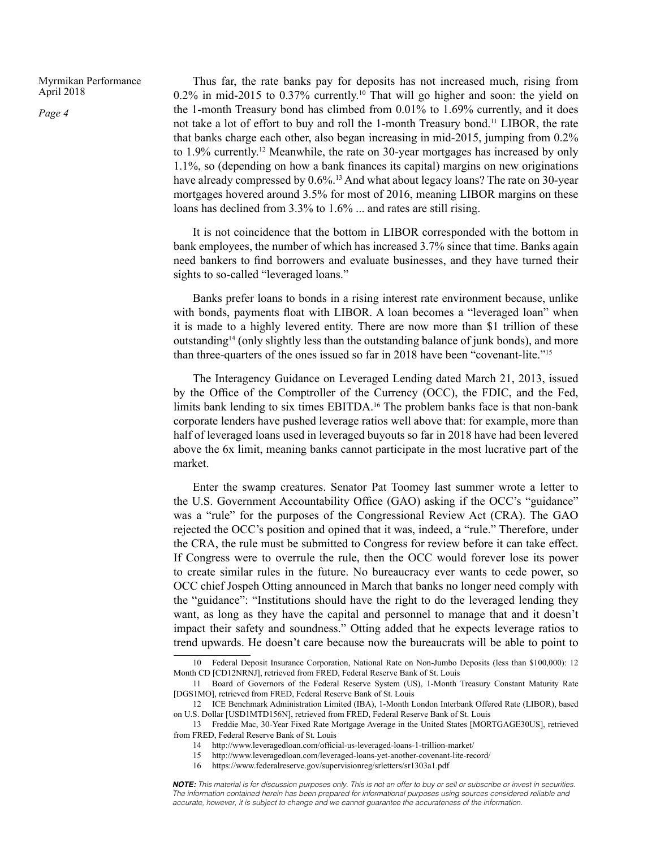*Page 4*

Thus far, the rate banks pay for deposits has not increased much, rising from 0.2% in mid-2015 to 0.37% currently.10 That will go higher and soon: the yield on the 1-month Treasury bond has climbed from 0.01% to 1.69% currently, and it does not take a lot of effort to buy and roll the 1-month Treasury bond.11 LIBOR, the rate that banks charge each other, also began increasing in mid-2015, jumping from 0.2% to 1.9% currently.12 Meanwhile, the rate on 30-year mortgages has increased by only 1.1%, so (depending on how a bank finances its capital) margins on new originations have already compressed by 0.6%.<sup>13</sup> And what about legacy loans? The rate on 30-year mortgages hovered around 3.5% for most of 2016, meaning LIBOR margins on these loans has declined from 3.3% to 1.6% ... and rates are still rising.

It is not coincidence that the bottom in LIBOR corresponded with the bottom in bank employees, the number of which has increased 3.7% since that time. Banks again need bankers to find borrowers and evaluate businesses, and they have turned their sights to so-called "leveraged loans."

Banks prefer loans to bonds in a rising interest rate environment because, unlike with bonds, payments float with LIBOR. A loan becomes a "leveraged loan" when it is made to a highly levered entity. There are now more than \$1 trillion of these outstanding<sup>14</sup> (only slightly less than the outstanding balance of junk bonds), and more than three-quarters of the ones issued so far in 2018 have been "covenant-lite."15

The Interagency Guidance on Leveraged Lending dated March 21, 2013, issued by the Office of the Comptroller of the Currency (OCC), the FDIC, and the Fed, limits bank lending to six times EBITDA.16 The problem banks face is that non-bank corporate lenders have pushed leverage ratios well above that: for example, more than half of leveraged loans used in leveraged buyouts so far in 2018 have had been levered above the 6x limit, meaning banks cannot participate in the most lucrative part of the market.

Enter the swamp creatures. Senator Pat Toomey last summer wrote a letter to the U.S. Government Accountability Office (GAO) asking if the OCC's "guidance" was a "rule" for the purposes of the Congressional Review Act (CRA). The GAO rejected the OCC's position and opined that it was, indeed, a "rule." Therefore, under the CRA, the rule must be submitted to Congress for review before it can take effect. If Congress were to overrule the rule, then the OCC would forever lose its power to create similar rules in the future. No bureaucracy ever wants to cede power, so OCC chief Jospeh Otting announced in March that banks no longer need comply with the "guidance": "Institutions should have the right to do the leveraged lending they want, as long as they have the capital and personnel to manage that and it doesn't impact their safety and soundness." Otting added that he expects leverage ratios to trend upwards. He doesn't care because now the bureaucrats will be able to point to

<sup>10</sup> Federal Deposit Insurance Corporation, National Rate on Non-Jumbo Deposits (less than \$100,000): 12 Month CD [CD12NRNJ], retrieved from FRED, Federal Reserve Bank of St. Louis

<sup>11</sup> Board of Governors of the Federal Reserve System (US), 1-Month Treasury Constant Maturity Rate [DGS1MO], retrieved from FRED, Federal Reserve Bank of St. Louis

<sup>12</sup> ICE Benchmark Administration Limited (IBA), 1-Month London Interbank Offered Rate (LIBOR), based on U.S. Dollar [USD1MTD156N], retrieved from FRED, Federal Reserve Bank of St. Louis

<sup>13</sup> Freddie Mac, 30-Year Fixed Rate Mortgage Average in the United States [MORTGAGE30US], retrieved from FRED, Federal Reserve Bank of St. Louis

<sup>14</sup> http://www.leveragedloan.com/official-us-leveraged-loans-1-trillion-market/ 15 http://www.leveragedloan.com/leveraged-loans-yet-another-covenant-lite-record/

<sup>16</sup> https://www.federalreserve.gov/supervisionreg/srletters/sr1303a1.pdf

*NOTE: This material is for discussion purposes only. This is not an offer to buy or sell or subscribe or invest in securities. The information contained herein has been prepared for informational purposes using sources considered reliable and accurate, however, it is subject to change and we cannot guarantee the accurateness of the information.*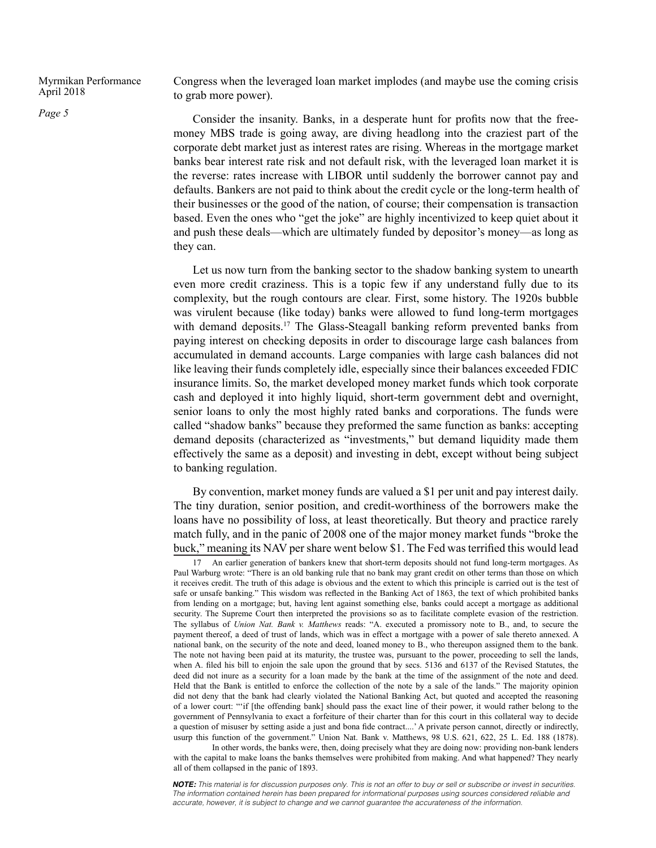*Page 5*

Congress when the leveraged loan market implodes (and maybe use the coming crisis to grab more power).

Consider the insanity. Banks, in a desperate hunt for profits now that the freemoney MBS trade is going away, are diving headlong into the craziest part of the corporate debt market just as interest rates are rising. Whereas in the mortgage market banks bear interest rate risk and not default risk, with the leveraged loan market it is the reverse: rates increase with LIBOR until suddenly the borrower cannot pay and defaults. Bankers are not paid to think about the credit cycle or the long-term health of their businesses or the good of the nation, of course; their compensation is transaction based. Even the ones who "get the joke" are highly incentivized to keep quiet about it and push these deals—which are ultimately funded by depositor's money—as long as they can.

Let us now turn from the banking sector to the shadow banking system to unearth even more credit craziness. This is a topic few if any understand fully due to its complexity, but the rough contours are clear. First, some history. The 1920s bubble was virulent because (like today) banks were allowed to fund long-term mortgages with demand deposits.<sup>17</sup> The Glass-Steagall banking reform prevented banks from paying interest on checking deposits in order to discourage large cash balances from accumulated in demand accounts. Large companies with large cash balances did not like leaving their funds completely idle, especially since their balances exceeded FDIC insurance limits. So, the market developed money market funds which took corporate cash and deployed it into highly liquid, short-term government debt and overnight, senior loans to only the most highly rated banks and corporations. The funds were called "shadow banks" because they preformed the same function as banks: accepting demand deposits (characterized as "investments," but demand liquidity made them effectively the same as a deposit) and investing in debt, except without being subject to banking regulation.

By convention, market money funds are valued a \$1 per unit and pay interest daily. The tiny duration, senior position, and credit-worthiness of the borrowers make the loans have no possibility of loss, at least theoretically. But theory and practice rarely match fully, and in the panic of 2008 one of the major money market funds "broke the buck," meaning its NAV per share went below \$1. The Fed was terrified this would lead

17 An earlier generation of bankers knew that short-term deposits should not fund long-term mortgages. As Paul Warburg wrote: "There is an old banking rule that no bank may grant credit on other terms than those on which it receives credit. The truth of this adage is obvious and the extent to which this principle is carried out is the test of safe or unsafe banking." This wisdom was reflected in the Banking Act of 1863, the text of which prohibited banks from lending on a mortgage; but, having lent against something else, banks could accept a mortgage as additional security. The Supreme Court then interpreted the provisions so as to facilitate complete evasion of the restriction. The syllabus of *Union Nat. Bank v. Matthews* reads: "A. executed a promissory note to B., and, to secure the payment thereof, a deed of trust of lands, which was in effect a mortgage with a power of sale thereto annexed. A national bank, on the security of the note and deed, loaned money to B., who thereupon assigned them to the bank. The note not having been paid at its maturity, the trustee was, pursuant to the power, proceeding to sell the lands, when A. filed his bill to enjoin the sale upon the ground that by secs. 5136 and 6137 of the Revised Statutes, the deed did not inure as a security for a loan made by the bank at the time of the assignment of the note and deed. Held that the Bank is entitled to enforce the collection of the note by a sale of the lands." The majority opinion did not deny that the bank had clearly violated the National Banking Act, but quoted and accepted the reasoning of a lower court: "'if [the offending bank] should pass the exact line of their power, it would rather belong to the government of Pennsylvania to exact a forfeiture of their charter than for this court in this collateral way to decide a question of misuser by setting aside a just and bona fide contract....' A private person cannot, directly or indirectly, usurp this function of the government." Union Nat. Bank v. Matthews, 98 U.S. 621, 622, 25 L. Ed. 188 (1878).

In other words, the banks were, then, doing precisely what they are doing now: providing non-bank lenders with the capital to make loans the banks themselves were prohibited from making. And what happened? They nearly all of them collapsed in the panic of 1893.

*NOTE: This material is for discussion purposes only. This is not an offer to buy or sell or subscribe or invest in securities. The information contained herein has been prepared for informational purposes using sources considered reliable and accurate, however, it is subject to change and we cannot guarantee the accurateness of the information.*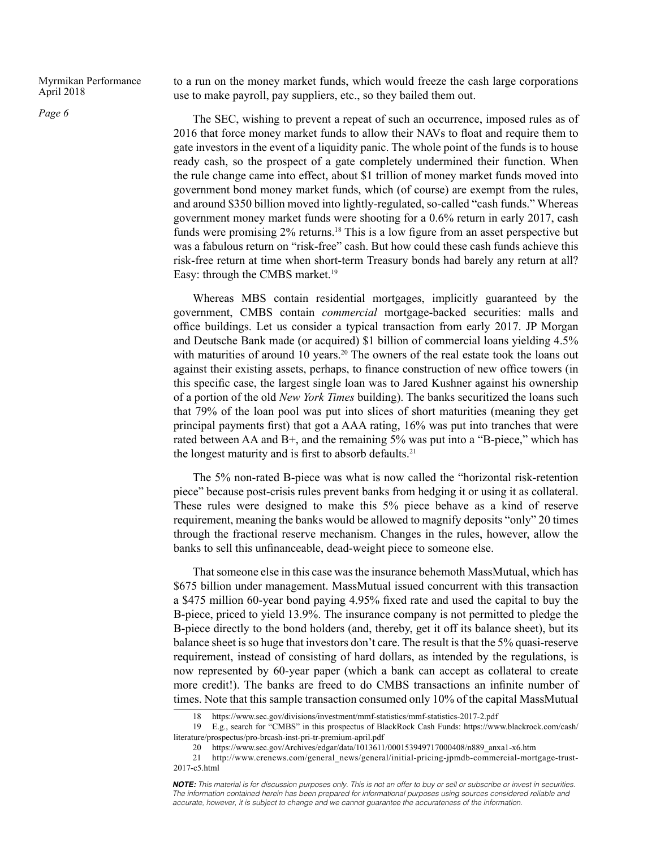*Page 6*

to a run on the money market funds, which would freeze the cash large corporations use to make payroll, pay suppliers, etc., so they bailed them out.

The SEC, wishing to prevent a repeat of such an occurrence, imposed rules as of 2016 that force money market funds to allow their NAVs to float and require them to gate investors in the event of a liquidity panic. The whole point of the funds is to house ready cash, so the prospect of a gate completely undermined their function. When the rule change came into effect, about \$1 trillion of money market funds moved into government bond money market funds, which (of course) are exempt from the rules, and around \$350 billion moved into lightly-regulated, so-called "cash funds." Whereas government money market funds were shooting for a 0.6% return in early 2017, cash funds were promising 2% returns.<sup>18</sup> This is a low figure from an asset perspective but was a fabulous return on "risk-free" cash. But how could these cash funds achieve this risk-free return at time when short-term Treasury bonds had barely any return at all? Easy: through the CMBS market.<sup>19</sup>

Whereas MBS contain residential mortgages, implicitly guaranteed by the government, CMBS contain *commercial* mortgage-backed securities: malls and office buildings. Let us consider a typical transaction from early 2017. JP Morgan and Deutsche Bank made (or acquired) \$1 billion of commercial loans yielding 4.5% with maturities of around 10 years.<sup>20</sup> The owners of the real estate took the loans out against their existing assets, perhaps, to finance construction of new office towers (in this specific case, the largest single loan was to Jared Kushner against his ownership of a portion of the old *New York Times* building). The banks securitized the loans such that 79% of the loan pool was put into slices of short maturities (meaning they get principal payments first) that got a AAA rating, 16% was put into tranches that were rated between AA and B+, and the remaining 5% was put into a "B-piece," which has the longest maturity and is first to absorb defaults.<sup>21</sup>

The 5% non-rated B-piece was what is now called the "horizontal risk-retention piece" because post-crisis rules prevent banks from hedging it or using it as collateral. These rules were designed to make this 5% piece behave as a kind of reserve requirement, meaning the banks would be allowed to magnify deposits "only" 20 times through the fractional reserve mechanism. Changes in the rules, however, allow the banks to sell this unfinanceable, dead-weight piece to someone else.

That someone else in this case was the insurance behemoth MassMutual, which has \$675 billion under management. MassMutual issued concurrent with this transaction a \$475 million 60-year bond paying 4.95% fixed rate and used the capital to buy the B-piece, priced to yield 13.9%. The insurance company is not permitted to pledge the B-piece directly to the bond holders (and, thereby, get it off its balance sheet), but its balance sheet is so huge that investors don't care. The result is that the 5% quasi-reserve requirement, instead of consisting of hard dollars, as intended by the regulations, is now represented by 60-year paper (which a bank can accept as collateral to create more credit!). The banks are freed to do CMBS transactions an infinite number of times. Note that this sample transaction consumed only 10% of the capital MassMutual

<sup>18</sup> https://www.sec.gov/divisions/investment/mmf-statistics/mmf-statistics-2017-2.pdf

<sup>19</sup> E.g., search for "CMBS" in this prospectus of BlackRock Cash Funds: https://www.blackrock.com/cash/ literature/prospectus/pro-brcash-inst-pri-tr-premium-april.pdf

<sup>20</sup> https://www.sec.gov/Archives/edgar/data/1013611/000153949717000408/n889\_anxa1-x6.htm

<sup>21</sup> http://www.crenews.com/general\_news/general/initial-pricing-jpmdb-commercial-mortgage-trust-2017-c5.html

*NOTE: This material is for discussion purposes only. This is not an offer to buy or sell or subscribe or invest in securities. The information contained herein has been prepared for informational purposes using sources considered reliable and accurate, however, it is subject to change and we cannot guarantee the accurateness of the information.*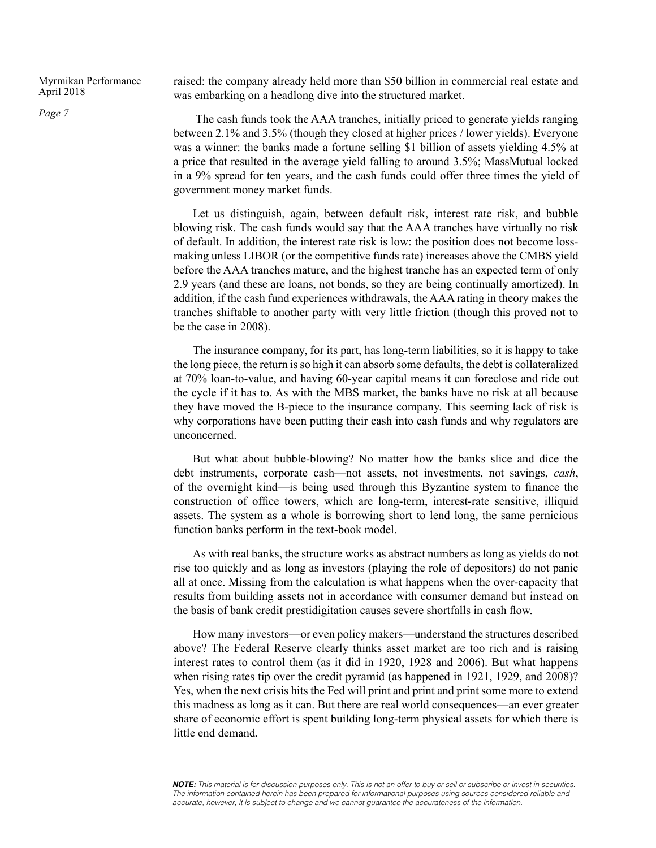*Page 7*

raised: the company already held more than \$50 billion in commercial real estate and was embarking on a headlong dive into the structured market.

 The cash funds took the AAA tranches, initially priced to generate yields ranging between 2.1% and 3.5% (though they closed at higher prices / lower yields). Everyone was a winner: the banks made a fortune selling \$1 billion of assets yielding 4.5% at a price that resulted in the average yield falling to around 3.5%; MassMutual locked in a 9% spread for ten years, and the cash funds could offer three times the yield of government money market funds.

Let us distinguish, again, between default risk, interest rate risk, and bubble blowing risk. The cash funds would say that the AAA tranches have virtually no risk of default. In addition, the interest rate risk is low: the position does not become lossmaking unless LIBOR (or the competitive funds rate) increases above the CMBS yield before the AAA tranches mature, and the highest tranche has an expected term of only 2.9 years (and these are loans, not bonds, so they are being continually amortized). In addition, if the cash fund experiences withdrawals, the AAA rating in theory makes the tranches shiftable to another party with very little friction (though this proved not to be the case in 2008).

The insurance company, for its part, has long-term liabilities, so it is happy to take the long piece, the return is so high it can absorb some defaults, the debt is collateralized at 70% loan-to-value, and having 60-year capital means it can foreclose and ride out the cycle if it has to. As with the MBS market, the banks have no risk at all because they have moved the B-piece to the insurance company. This seeming lack of risk is why corporations have been putting their cash into cash funds and why regulators are unconcerned.

But what about bubble-blowing? No matter how the banks slice and dice the debt instruments, corporate cash—not assets, not investments, not savings, *cash*, of the overnight kind—is being used through this Byzantine system to finance the construction of office towers, which are long-term, interest-rate sensitive, illiquid assets. The system as a whole is borrowing short to lend long, the same pernicious function banks perform in the text-book model.

As with real banks, the structure works as abstract numbers as long as yields do not rise too quickly and as long as investors (playing the role of depositors) do not panic all at once. Missing from the calculation is what happens when the over-capacity that results from building assets not in accordance with consumer demand but instead on the basis of bank credit prestidigitation causes severe shortfalls in cash flow.

How many investors—or even policy makers—understand the structures described above? The Federal Reserve clearly thinks asset market are too rich and is raising interest rates to control them (as it did in 1920, 1928 and 2006). But what happens when rising rates tip over the credit pyramid (as happened in 1921, 1929, and 2008)? Yes, when the next crisis hits the Fed will print and print and print some more to extend this madness as long as it can. But there are real world consequences—an ever greater share of economic effort is spent building long-term physical assets for which there is little end demand.

*NOTE: This material is for discussion purposes only. This is not an offer to buy or sell or subscribe or invest in securities. The information contained herein has been prepared for informational purposes using sources considered reliable and accurate, however, it is subject to change and we cannot guarantee the accurateness of the information.*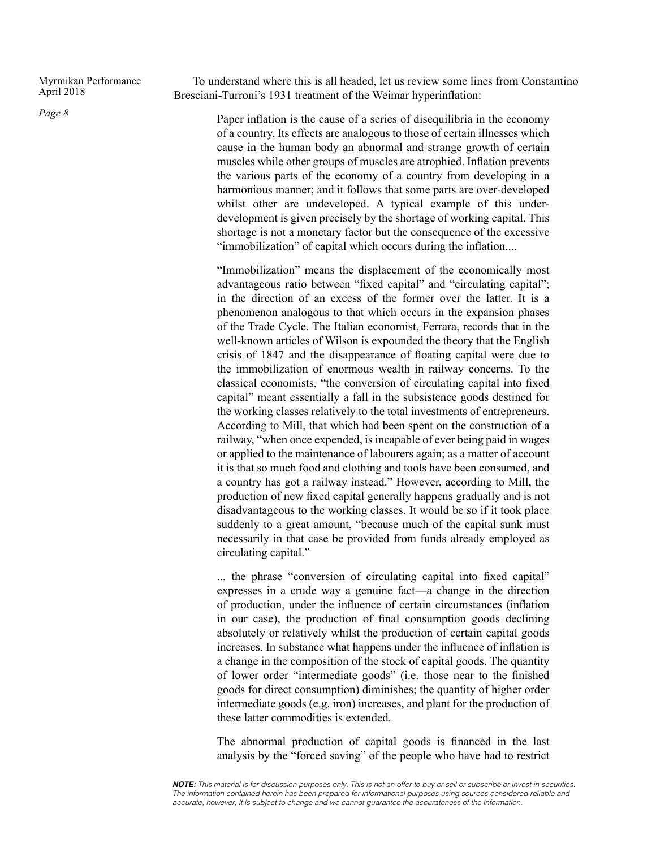*Page 8*

To understand where this is all headed, let us review some lines from Constantino Bresciani-Turroni's 1931 treatment of the Weimar hyperinflation:

> Paper inflation is the cause of a series of disequilibria in the economy of a country. Its effects are analogous to those of certain illnesses which cause in the human body an abnormal and strange growth of certain muscles while other groups of muscles are atrophied. Inflation prevents the various parts of the economy of a country from developing in a harmonious manner; and it follows that some parts are over-developed whilst other are undeveloped. A typical example of this underdevelopment is given precisely by the shortage of working capital. This shortage is not a monetary factor but the consequence of the excessive "immobilization" of capital which occurs during the inflation....

> "Immobilization" means the displacement of the economically most advantageous ratio between "fixed capital" and "circulating capital"; in the direction of an excess of the former over the latter. It is a phenomenon analogous to that which occurs in the expansion phases of the Trade Cycle. The Italian economist, Ferrara, records that in the well-known articles of Wilson is expounded the theory that the English crisis of 1847 and the disappearance of floating capital were due to the immobilization of enormous wealth in railway concerns. To the classical economists, "the conversion of circulating capital into fixed capital" meant essentially a fall in the subsistence goods destined for the working classes relatively to the total investments of entrepreneurs. According to Mill, that which had been spent on the construction of a railway, "when once expended, is incapable of ever being paid in wages or applied to the maintenance of labourers again; as a matter of account it is that so much food and clothing and tools have been consumed, and a country has got a railway instead." However, according to Mill, the production of new fixed capital generally happens gradually and is not disadvantageous to the working classes. It would be so if it took place suddenly to a great amount, "because much of the capital sunk must necessarily in that case be provided from funds already employed as circulating capital."

> ... the phrase "conversion of circulating capital into fixed capital" expresses in a crude way a genuine fact—a change in the direction of production, under the influence of certain circumstances (inflation in our case), the production of final consumption goods declining absolutely or relatively whilst the production of certain capital goods increases. In substance what happens under the influence of inflation is a change in the composition of the stock of capital goods. The quantity of lower order "intermediate goods" (i.e. those near to the finished goods for direct consumption) diminishes; the quantity of higher order intermediate goods (e.g. iron) increases, and plant for the production of these latter commodities is extended.

> The abnormal production of capital goods is financed in the last analysis by the "forced saving" of the people who have had to restrict

*NOTE: This material is for discussion purposes only. This is not an offer to buy or sell or subscribe or invest in securities. The information contained herein has been prepared for informational purposes using sources considered reliable and accurate, however, it is subject to change and we cannot guarantee the accurateness of the information.*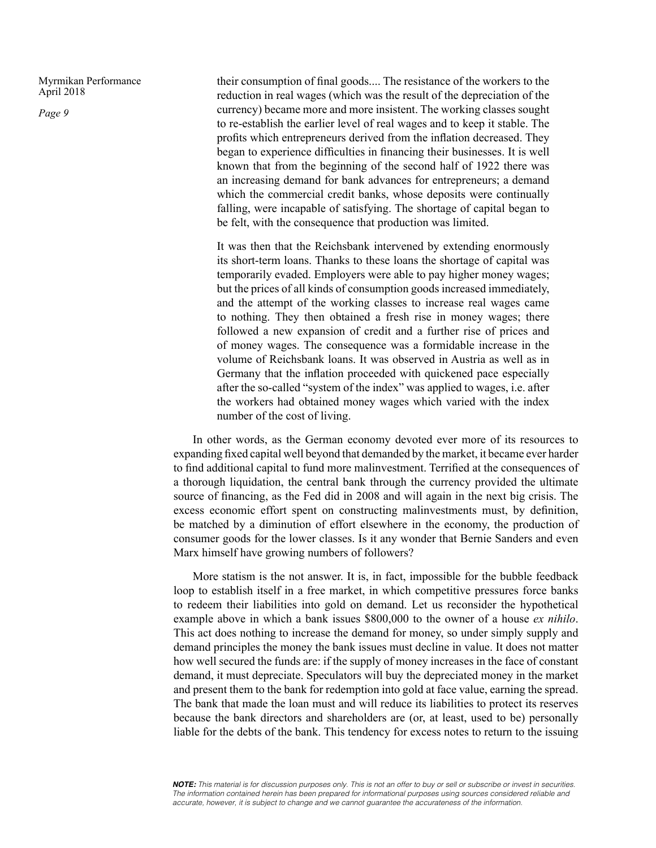*Page 9*

their consumption of final goods.... The resistance of the workers to the reduction in real wages (which was the result of the depreciation of the currency) became more and more insistent. The working classes sought to re-establish the earlier level of real wages and to keep it stable. The profits which entrepreneurs derived from the inflation decreased. They began to experience difficulties in financing their businesses. It is well known that from the beginning of the second half of 1922 there was an increasing demand for bank advances for entrepreneurs; a demand which the commercial credit banks, whose deposits were continually falling, were incapable of satisfying. The shortage of capital began to be felt, with the consequence that production was limited.

It was then that the Reichsbank intervened by extending enormously its short-term loans. Thanks to these loans the shortage of capital was temporarily evaded. Employers were able to pay higher money wages; but the prices of all kinds of consumption goods increased immediately, and the attempt of the working classes to increase real wages came to nothing. They then obtained a fresh rise in money wages; there followed a new expansion of credit and a further rise of prices and of money wages. The consequence was a formidable increase in the volume of Reichsbank loans. It was observed in Austria as well as in Germany that the inflation proceeded with quickened pace especially after the so-called "system of the index" was applied to wages, i.e. after the workers had obtained money wages which varied with the index number of the cost of living.

In other words, as the German economy devoted ever more of its resources to expanding fixed capital well beyond that demanded by the market, it became ever harder to find additional capital to fund more malinvestment. Terrified at the consequences of a thorough liquidation, the central bank through the currency provided the ultimate source of financing, as the Fed did in 2008 and will again in the next big crisis. The excess economic effort spent on constructing malinvestments must, by definition, be matched by a diminution of effort elsewhere in the economy, the production of consumer goods for the lower classes. Is it any wonder that Bernie Sanders and even Marx himself have growing numbers of followers?

More statism is the not answer. It is, in fact, impossible for the bubble feedback loop to establish itself in a free market, in which competitive pressures force banks to redeem their liabilities into gold on demand. Let us reconsider the hypothetical example above in which a bank issues \$800,000 to the owner of a house *ex nihilo*. This act does nothing to increase the demand for money, so under simply supply and demand principles the money the bank issues must decline in value. It does not matter how well secured the funds are: if the supply of money increases in the face of constant demand, it must depreciate. Speculators will buy the depreciated money in the market and present them to the bank for redemption into gold at face value, earning the spread. The bank that made the loan must and will reduce its liabilities to protect its reserves because the bank directors and shareholders are (or, at least, used to be) personally liable for the debts of the bank. This tendency for excess notes to return to the issuing

*NOTE: This material is for discussion purposes only. This is not an offer to buy or sell or subscribe or invest in securities. The information contained herein has been prepared for informational purposes using sources considered reliable and accurate, however, it is subject to change and we cannot guarantee the accurateness of the information.*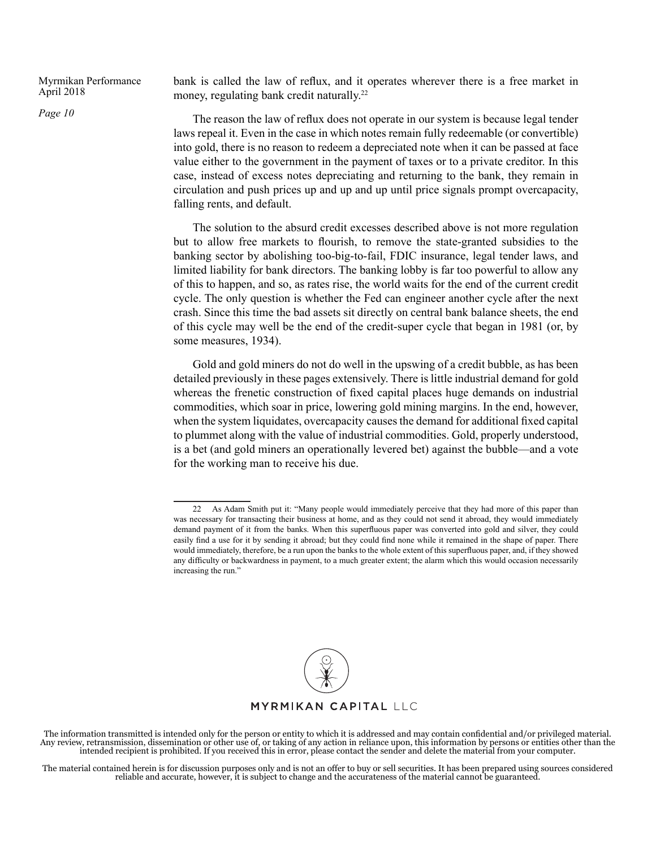*Page 10*

bank is called the law of reflux, and it operates wherever there is a free market in money, regulating bank credit naturally.<sup>22</sup>

The reason the law of reflux does not operate in our system is because legal tender laws repeal it. Even in the case in which notes remain fully redeemable (or convertible) into gold, there is no reason to redeem a depreciated note when it can be passed at face value either to the government in the payment of taxes or to a private creditor. In this case, instead of excess notes depreciating and returning to the bank, they remain in circulation and push prices up and up and up until price signals prompt overcapacity, falling rents, and default.

The solution to the absurd credit excesses described above is not more regulation but to allow free markets to flourish, to remove the state-granted subsidies to the banking sector by abolishing too-big-to-fail, FDIC insurance, legal tender laws, and limited liability for bank directors. The banking lobby is far too powerful to allow any of this to happen, and so, as rates rise, the world waits for the end of the current credit cycle. The only question is whether the Fed can engineer another cycle after the next crash. Since this time the bad assets sit directly on central bank balance sheets, the end of this cycle may well be the end of the credit-super cycle that began in 1981 (or, by some measures, 1934).

Gold and gold miners do not do well in the upswing of a credit bubble, as has been detailed previously in these pages extensively. There is little industrial demand for gold whereas the frenetic construction of fixed capital places huge demands on industrial commodities, which soar in price, lowering gold mining margins. In the end, however, when the system liquidates, overcapacity causes the demand for additional fixed capital to plummet along with the value of industrial commodities. Gold, properly understood, is a bet (and gold miners an operationally levered bet) against the bubble—and a vote for the working man to receive his due.

*NOTE: This material is for discussion purposes only. This is not an offer to buy or sell or subscribe or invest in securities.* 



The information transmitted is intended only for the person or entity to which it is addressed and may contain confidential and/or privileged material. Any review, retransmission, dissemination or other use of, or taking of any action in reliance upon, this information by persons or entities other than the intended recipient is prohibited. If you received this in error, please contact the sender and delete the material from your computer.

The material contained herein is for discussion purposes only and is not an offer to buy or sell securities. It has been prepared using sources considered reliable and accurate, however, it is subject to change and the accurateness of the material cannot be guaranteed.

As Adam Smith put it: "Many people would immediately perceive that they had more of this paper than was necessary for transacting their business at home, and as they could not send it abroad, they would immediately demand payment of it from the banks. When this superfluous paper was converted into gold and silver, they could easily find a use for it by sending it abroad; but they could find none while it remained in the shape of paper. There would immediately, therefore, be a run upon the banks to the whole extent of this superfluous paper, and, if they showed any difficulty or backwardness in payment, to a much greater extent; the alarm which this would occasion necessarily increasing the run."